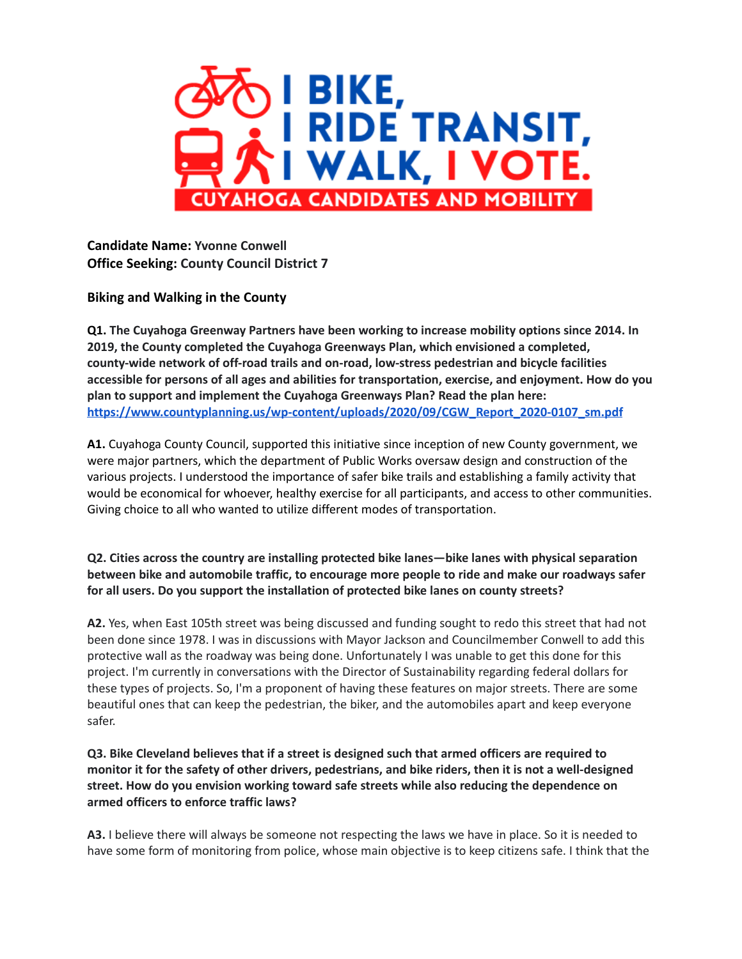

**Candidate Name: Yvonne Conwell Office Seeking: County Council District 7**

**Biking and Walking in the County**

**Q1. The Cuyahoga Greenway Partners have been working to increase mobility options since 2014. In 2019, the County completed the Cuyahoga Greenways Plan, which envisioned a completed, county-wide network of off-road trails and on-road, low-stress pedestrian and bicycle facilities accessible for persons of all ages and abilities for transportation, exercise, and enjoyment. How do you plan to support and implement the Cuyahoga Greenways Plan? Read the plan here: [https://www.countyplanning.us/wp-content/uploads/2020/09/CGW\\_Report\\_2020-0107\\_sm.pdf](https://www.countyplanning.us/wp-content/uploads/2020/09/CGW_Report_2020-0107_sm.pdf)**

**A1.** Cuyahoga County Council, supported this initiative since inception of new County government, we were major partners, which the department of Public Works oversaw design and construction of the various projects. I understood the importance of safer bike trails and establishing a family activity that would be economical for whoever, healthy exercise for all participants, and access to other communities. Giving choice to all who wanted to utilize different modes of transportation.

**Q2. Cities across the country are installing protected bike lanes—bike lanes with physical separation between bike and automobile traffic, to encourage more people to ride and make our roadways safer for all users. Do you support the installation of protected bike lanes on county streets?**

**A2.** Yes, when East 105th street was being discussed and funding sought to redo this street that had not been done since 1978. I was in discussions with Mayor Jackson and Councilmember Conwell to add this protective wall as the roadway was being done. Unfortunately I was unable to get this done for this project. I'm currently in conversations with the Director of Sustainability regarding federal dollars for these types of projects. So, I'm a proponent of having these features on major streets. There are some beautiful ones that can keep the pedestrian, the biker, and the automobiles apart and keep everyone safer.

**Q3. Bike Cleveland believes that if a street is designed such that armed officers are required to** monitor it for the safety of other drivers, pedestrians, and bike riders, then it is not a well-designed **street. How do you envision working toward safe streets while also reducing the dependence on armed officers to enforce traffic laws?**

**A3.** I believe there will always be someone not respecting the laws we have in place. So it is needed to have some form of monitoring from police, whose main objective is to keep citizens safe. I think that the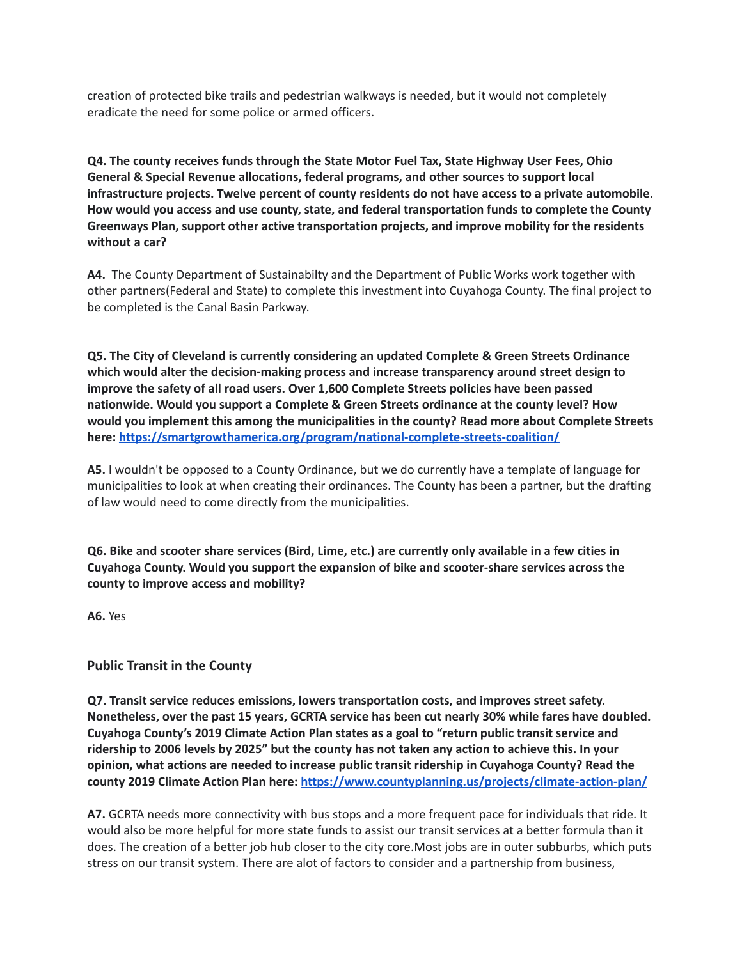creation of protected bike trails and pedestrian walkways is needed, but it would not completely eradicate the need for some police or armed officers.

**Q4. The county receives funds through the State Motor Fuel Tax, State Highway User Fees, Ohio General & Special Revenue allocations, federal programs, and other sources to support local infrastructure projects. Twelve percent of county residents do not have access to a private automobile. How would you access and use county, state, and federal transportation funds to complete the County Greenways Plan, support other active transportation projects, and improve mobility for the residents without a car?**

**A4.** The County Department of Sustainabilty and the Department of Public Works work together with other partners(Federal and State) to complete this investment into Cuyahoga County. The final project to be completed is the Canal Basin Parkway.

**Q5. The City of Cleveland is currently considering an updated Complete & Green Streets Ordinance which would alter the decision-making process and increase transparency around street design to improve the safety of all road users. Over 1,600 Complete Streets policies have been passed nationwide. Would you support a Complete & Green Streets ordinance at the county level? How would you implement this among the municipalities in the county? Read more about Complete Streets here: <https://smartgrowthamerica.org/program/national-complete-streets-coalition/>**

**A5.** I wouldn't be opposed to a County Ordinance, but we do currently have a template of language for municipalities to look at when creating their ordinances. The County has been a partner, but the drafting of law would need to come directly from the municipalities.

Q6. Bike and scooter share services (Bird, Lime, etc.) are currently only available in a few cities in **Cuyahoga County. Would you support the expansion of bike and scooter-share services across the county to improve access and mobility?**

**A6.** Yes

## **Public Transit in the County**

**Q7. Transit service reduces emissions, lowers transportation costs, and improves street safety. Nonetheless, over the past 15 years, GCRTA service has been cut nearly 30% while fares have doubled. Cuyahoga County's 2019 Climate Action Plan states as a goal to "return public transit service and** ridership to 2006 levels by 2025" but the county has not taken any action to achieve this. In your **opinion, what actions are needed to increase public transit ridership in Cuyahoga County? Read the county 2019 Climate Action Plan here: <https://www.countyplanning.us/projects/climate-action-plan/>**

**A7.** GCRTA needs more connectivity with bus stops and a more frequent pace for individuals that ride. It would also be more helpful for more state funds to assist our transit services at a better formula than it does. The creation of a better job hub closer to the city core.Most jobs are in outer subburbs, which puts stress on our transit system. There are alot of factors to consider and a partnership from business,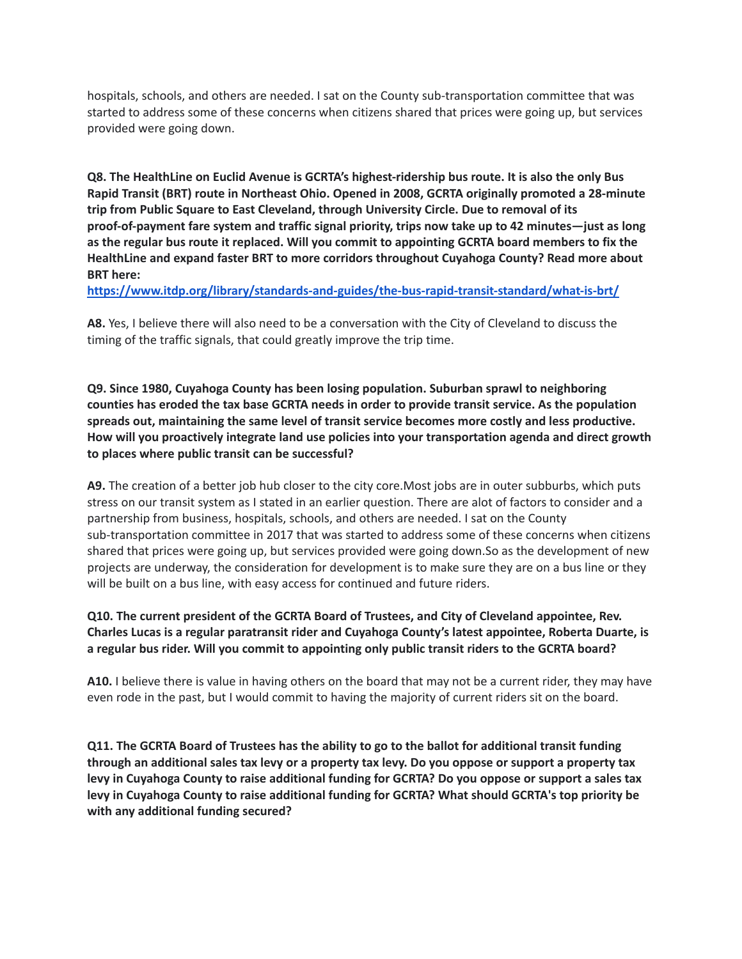hospitals, schools, and others are needed. I sat on the County sub-transportation committee that was started to address some of these concerns when citizens shared that prices were going up, but services provided were going down.

**Q8. The HealthLine on Euclid Avenue is GCRTA's highest-ridership bus route. It is also the only Bus Rapid Transit (BRT) route in Northeast Ohio. Opened in 2008, GCRTA originally promoted a 28-minute trip from Public Square to East Cleveland, through University Circle. Due to removal of its proof-of-payment fare system and traffic signal priority, trips now take up to 42 minutes—just as long as the regular bus route it replaced. Will you commit to appointing GCRTA board members to fix the HealthLine and expand faster BRT to more corridors throughout Cuyahoga County? Read more about BRT here:**

**<https://www.itdp.org/library/standards-and-guides/the-bus-rapid-transit-standard/what-is-brt/>**

**A8.** Yes, I believe there will also need to be a conversation with the City of Cleveland to discuss the timing of the traffic signals, that could greatly improve the trip time.

**Q9. Since 1980, Cuyahoga County has been losing population. Suburban sprawl to neighboring counties has eroded the tax base GCRTA needs in order to provide transit service. As the population spreads out, maintaining the same level of transit service becomes more costly and less productive. How will you proactively integrate land use policies into your transportation agenda and direct growth to places where public transit can be successful?**

**A9.** The creation of a better job hub closer to the city core.Most jobs are in outer subburbs, which puts stress on our transit system as I stated in an earlier question. There are alot of factors to consider and a partnership from business, hospitals, schools, and others are needed. I sat on the County sub-transportation committee in 2017 that was started to address some of these concerns when citizens shared that prices were going up, but services provided were going down.So as the development of new projects are underway, the consideration for development is to make sure they are on a bus line or they will be built on a bus line, with easy access for continued and future riders.

**Q10. The current president of the GCRTA Board of Trustees, and City of Cleveland appointee, Rev. Charles Lucas is a regular paratransit rider and Cuyahoga County's latest appointee, Roberta Duarte, is a regular bus rider. Will you commit to appointing only public transit riders to the GCRTA board?**

**A10.** I believe there is value in having others on the board that may not be a current rider, they may have even rode in the past, but I would commit to having the majority of current riders sit on the board.

Q11. The GCRTA Board of Trustees has the ability to go to the ballot for additional transit funding through an additional sales tax levy or a property tax levy. Do you oppose or support a property tax levy in Cuyahoga County to raise additional funding for GCRTA? Do you oppose or support a sales tax **levy in Cuyahoga County to raise additional funding for GCRTA? What should GCRTA's top priority be with any additional funding secured?**